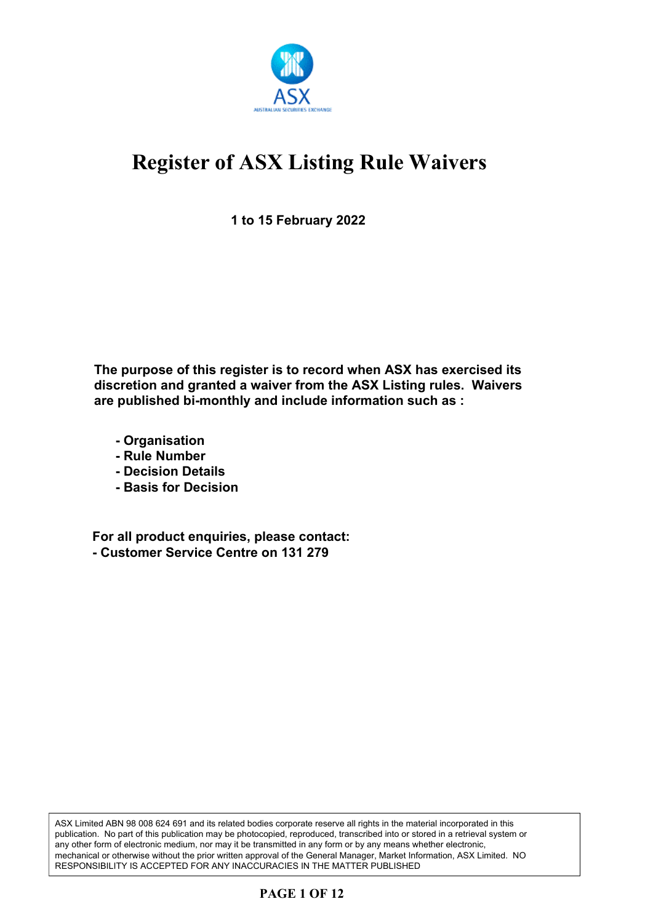

**1 to 15 February 2022**

**The purpose of this register is to record when ASX has exercised its discretion and granted a waiver from the ASX Listing rules. Waivers are published bi-monthly and include information such as :**

- **Organisation**
- **Rule Number**
- **Decision Details**
- **Basis for Decision**

**For all product enquiries, please contact: - Customer Service Centre on 131 279**

ASX Limited ABN 98 008 624 691 and its related bodies corporate reserve all rights in the material incorporated in this publication. No part of this publication may be photocopied, reproduced, transcribed into or stored in a retrieval system or any other form of electronic medium, nor may it be transmitted in any form or by any means whether electronic, mechanical or otherwise without the prior written approval of the General Manager, Market Information, ASX Limited. NO RESPONSIBILITY IS ACCEPTED FOR ANY INACCURACIES IN THE MATTER PUBLISHED

### **PAGE 1 OF 12**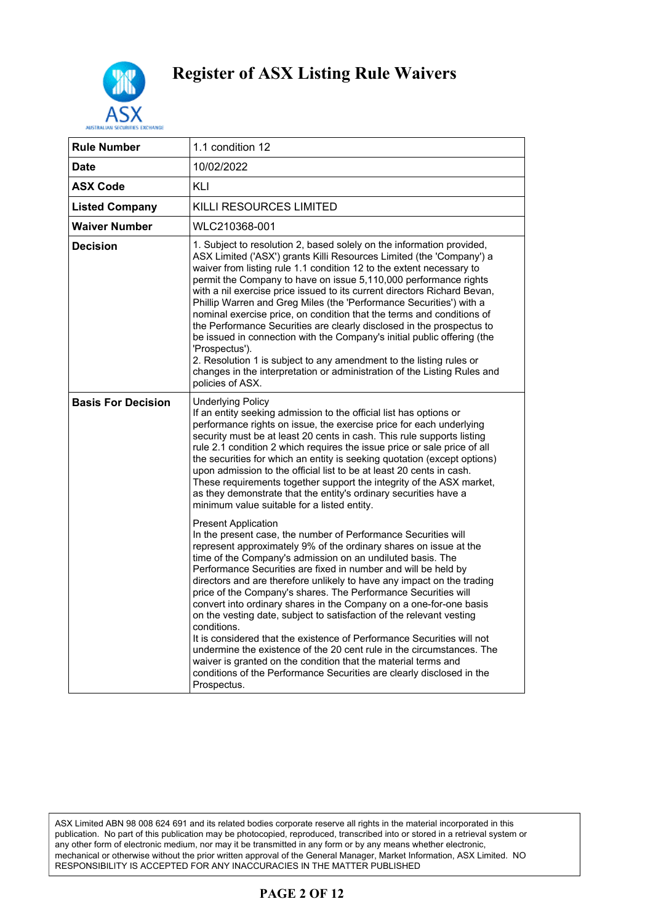

| <b>Rule Number</b>        | 1.1 condition 12                                                                                                                                                                                                                                                                                                                                                                                                                                                                                                                                                                                                                                                                                                                                                                                                                                                                                                        |
|---------------------------|-------------------------------------------------------------------------------------------------------------------------------------------------------------------------------------------------------------------------------------------------------------------------------------------------------------------------------------------------------------------------------------------------------------------------------------------------------------------------------------------------------------------------------------------------------------------------------------------------------------------------------------------------------------------------------------------------------------------------------------------------------------------------------------------------------------------------------------------------------------------------------------------------------------------------|
| Date                      | 10/02/2022                                                                                                                                                                                                                                                                                                                                                                                                                                                                                                                                                                                                                                                                                                                                                                                                                                                                                                              |
| <b>ASX Code</b>           | KLI                                                                                                                                                                                                                                                                                                                                                                                                                                                                                                                                                                                                                                                                                                                                                                                                                                                                                                                     |
| <b>Listed Company</b>     | KILLI RESOURCES LIMITED                                                                                                                                                                                                                                                                                                                                                                                                                                                                                                                                                                                                                                                                                                                                                                                                                                                                                                 |
| <b>Waiver Number</b>      | WLC210368-001                                                                                                                                                                                                                                                                                                                                                                                                                                                                                                                                                                                                                                                                                                                                                                                                                                                                                                           |
| <b>Decision</b>           | 1. Subject to resolution 2, based solely on the information provided,<br>ASX Limited ('ASX') grants Killi Resources Limited (the 'Company') a<br>waiver from listing rule 1.1 condition 12 to the extent necessary to<br>permit the Company to have on issue 5,110,000 performance rights<br>with a nil exercise price issued to its current directors Richard Bevan,<br>Phillip Warren and Greg Miles (the 'Performance Securities') with a<br>nominal exercise price, on condition that the terms and conditions of<br>the Performance Securities are clearly disclosed in the prospectus to<br>be issued in connection with the Company's initial public offering (the<br>'Prospectus').<br>2. Resolution 1 is subject to any amendment to the listing rules or<br>changes in the interpretation or administration of the Listing Rules and<br>policies of ASX.                                                      |
| <b>Basis For Decision</b> | <b>Underlying Policy</b><br>If an entity seeking admission to the official list has options or<br>performance rights on issue, the exercise price for each underlying<br>security must be at least 20 cents in cash. This rule supports listing<br>rule 2.1 condition 2 which requires the issue price or sale price of all<br>the securities for which an entity is seeking quotation (except options)<br>upon admission to the official list to be at least 20 cents in cash.<br>These requirements together support the integrity of the ASX market,<br>as they demonstrate that the entity's ordinary securities have a<br>minimum value suitable for a listed entity.                                                                                                                                                                                                                                              |
|                           | <b>Present Application</b><br>In the present case, the number of Performance Securities will<br>represent approximately 9% of the ordinary shares on issue at the<br>time of the Company's admission on an undiluted basis. The<br>Performance Securities are fixed in number and will be held by<br>directors and are therefore unlikely to have any impact on the trading<br>price of the Company's shares. The Performance Securities will<br>convert into ordinary shares in the Company on a one-for-one basis<br>on the vesting date, subject to satisfaction of the relevant vesting<br>conditions.<br>It is considered that the existence of Performance Securities will not<br>undermine the existence of the 20 cent rule in the circumstances. The<br>waiver is granted on the condition that the material terms and<br>conditions of the Performance Securities are clearly disclosed in the<br>Prospectus. |

ASX Limited ABN 98 008 624 691 and its related bodies corporate reserve all rights in the material incorporated in this publication. No part of this publication may be photocopied, reproduced, transcribed into or stored in a retrieval system or any other form of electronic medium, nor may it be transmitted in any form or by any means whether electronic, mechanical or otherwise without the prior written approval of the General Manager, Market Information, ASX Limited. NO RESPONSIBILITY IS ACCEPTED FOR ANY INACCURACIES IN THE MATTER PUBLISHED

### **PAGE 2 OF 12**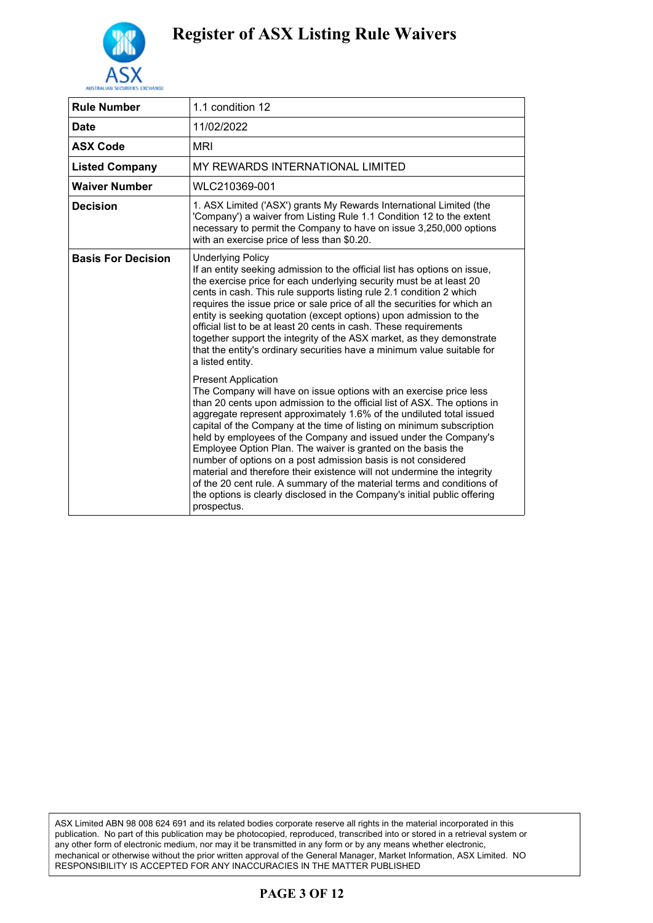

| <b>Rule Number</b>        | 1.1 condition 12                                                                                                                                                                                                                                                                                                                                                                                                                                                                                                                                                                                                                                                                                                                                                                   |
|---------------------------|------------------------------------------------------------------------------------------------------------------------------------------------------------------------------------------------------------------------------------------------------------------------------------------------------------------------------------------------------------------------------------------------------------------------------------------------------------------------------------------------------------------------------------------------------------------------------------------------------------------------------------------------------------------------------------------------------------------------------------------------------------------------------------|
| <b>Date</b>               | 11/02/2022                                                                                                                                                                                                                                                                                                                                                                                                                                                                                                                                                                                                                                                                                                                                                                         |
| <b>ASX Code</b>           | MRI                                                                                                                                                                                                                                                                                                                                                                                                                                                                                                                                                                                                                                                                                                                                                                                |
| <b>Listed Company</b>     | MY REWARDS INTERNATIONAL LIMITED                                                                                                                                                                                                                                                                                                                                                                                                                                                                                                                                                                                                                                                                                                                                                   |
| <b>Waiver Number</b>      | WLC210369-001                                                                                                                                                                                                                                                                                                                                                                                                                                                                                                                                                                                                                                                                                                                                                                      |
| <b>Decision</b>           | 1. ASX Limited ('ASX') grants My Rewards International Limited (the<br>'Company') a waiver from Listing Rule 1.1 Condition 12 to the extent<br>necessary to permit the Company to have on issue 3,250,000 options<br>with an exercise price of less than \$0.20.                                                                                                                                                                                                                                                                                                                                                                                                                                                                                                                   |
| <b>Basis For Decision</b> | <b>Underlying Policy</b><br>If an entity seeking admission to the official list has options on issue,<br>the exercise price for each underlying security must be at least 20<br>cents in cash. This rule supports listing rule 2.1 condition 2 which<br>requires the issue price or sale price of all the securities for which an<br>entity is seeking quotation (except options) upon admission to the<br>official list to be at least 20 cents in cash. These requirements<br>together support the integrity of the ASX market, as they demonstrate<br>that the entity's ordinary securities have a minimum value suitable for<br>a listed entity.                                                                                                                               |
|                           | <b>Present Application</b><br>The Company will have on issue options with an exercise price less<br>than 20 cents upon admission to the official list of ASX. The options in<br>aggregate represent approximately 1.6% of the undiluted total issued<br>capital of the Company at the time of listing on minimum subscription<br>held by employees of the Company and issued under the Company's<br>Employee Option Plan. The waiver is granted on the basis the<br>number of options on a post admission basis is not considered<br>material and therefore their existence will not undermine the integrity<br>of the 20 cent rule. A summary of the material terms and conditions of<br>the options is clearly disclosed in the Company's initial public offering<br>prospectus. |

ASX Limited ABN 98 008 624 691 and its related bodies corporate reserve all rights in the material incorporated in this publication. No part of this publication may be photocopied, reproduced, transcribed into or stored in a retrieval system or any other form of electronic medium, nor may it be transmitted in any form or by any means whether electronic, mechanical or otherwise without the prior written approval of the General Manager, Market Information, ASX Limited. NO RESPONSIBILITY IS ACCEPTED FOR ANY INACCURACIES IN THE MATTER PUBLISHED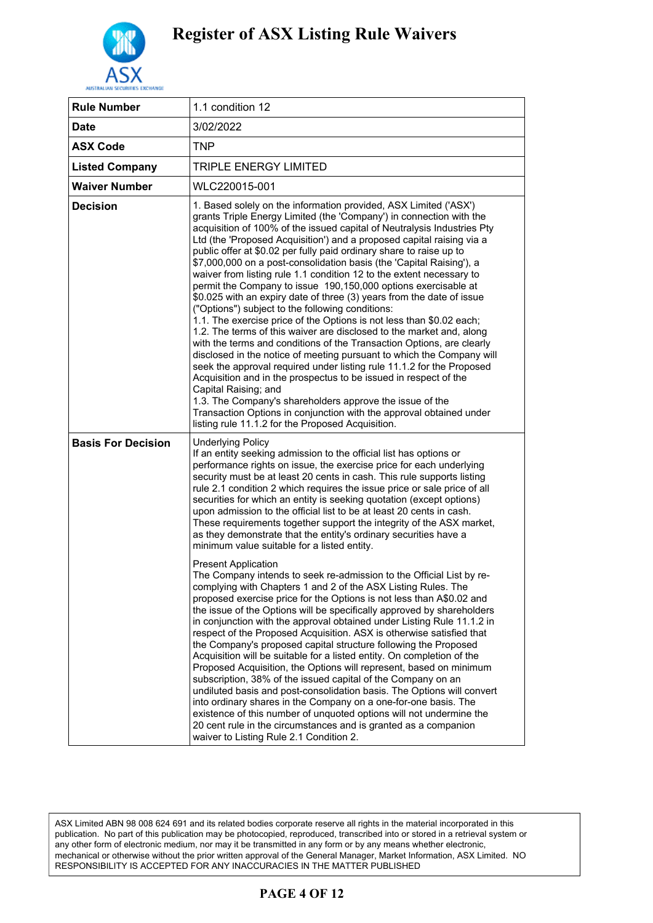

| <b>Rule Number</b>        | 1.1 condition 12                                                                                                                                                                                                                                                                                                                                                                                                                                                                                                                                                                                                                                                                                                                                                                                                                                                                                                                                                                                                                                                                                                                                                                                                                                                                                                                                                                 |
|---------------------------|----------------------------------------------------------------------------------------------------------------------------------------------------------------------------------------------------------------------------------------------------------------------------------------------------------------------------------------------------------------------------------------------------------------------------------------------------------------------------------------------------------------------------------------------------------------------------------------------------------------------------------------------------------------------------------------------------------------------------------------------------------------------------------------------------------------------------------------------------------------------------------------------------------------------------------------------------------------------------------------------------------------------------------------------------------------------------------------------------------------------------------------------------------------------------------------------------------------------------------------------------------------------------------------------------------------------------------------------------------------------------------|
| <b>Date</b>               | 3/02/2022                                                                                                                                                                                                                                                                                                                                                                                                                                                                                                                                                                                                                                                                                                                                                                                                                                                                                                                                                                                                                                                                                                                                                                                                                                                                                                                                                                        |
| <b>ASX Code</b>           | TNP                                                                                                                                                                                                                                                                                                                                                                                                                                                                                                                                                                                                                                                                                                                                                                                                                                                                                                                                                                                                                                                                                                                                                                                                                                                                                                                                                                              |
| <b>Listed Company</b>     | TRIPLE ENERGY LIMITED                                                                                                                                                                                                                                                                                                                                                                                                                                                                                                                                                                                                                                                                                                                                                                                                                                                                                                                                                                                                                                                                                                                                                                                                                                                                                                                                                            |
| <b>Waiver Number</b>      | WLC220015-001                                                                                                                                                                                                                                                                                                                                                                                                                                                                                                                                                                                                                                                                                                                                                                                                                                                                                                                                                                                                                                                                                                                                                                                                                                                                                                                                                                    |
| <b>Decision</b>           | 1. Based solely on the information provided, ASX Limited ('ASX')<br>grants Triple Energy Limited (the 'Company') in connection with the<br>acquisition of 100% of the issued capital of Neutralysis Industries Pty<br>Ltd (the 'Proposed Acquisition') and a proposed capital raising via a<br>public offer at \$0.02 per fully paid ordinary share to raise up to<br>\$7,000,000 on a post-consolidation basis (the 'Capital Raising'), a<br>waiver from listing rule 1.1 condition 12 to the extent necessary to<br>permit the Company to issue 190,150,000 options exercisable at<br>\$0.025 with an expiry date of three (3) years from the date of issue<br>("Options") subject to the following conditions:<br>1.1. The exercise price of the Options is not less than \$0.02 each;<br>1.2. The terms of this waiver are disclosed to the market and, along<br>with the terms and conditions of the Transaction Options, are clearly<br>disclosed in the notice of meeting pursuant to which the Company will<br>seek the approval required under listing rule 11.1.2 for the Proposed<br>Acquisition and in the prospectus to be issued in respect of the<br>Capital Raising; and<br>1.3. The Company's shareholders approve the issue of the<br>Transaction Options in conjunction with the approval obtained under<br>listing rule 11.1.2 for the Proposed Acquisition. |
| <b>Basis For Decision</b> | <b>Underlying Policy</b><br>If an entity seeking admission to the official list has options or<br>performance rights on issue, the exercise price for each underlying<br>security must be at least 20 cents in cash. This rule supports listing<br>rule 2.1 condition 2 which requires the issue price or sale price of all<br>securities for which an entity is seeking quotation (except options)<br>upon admission to the official list to be at least 20 cents in cash.<br>These requirements together support the integrity of the ASX market,<br>as they demonstrate that the entity's ordinary securities have a<br>minimum value suitable for a listed entity.                                                                                                                                                                                                                                                                                                                                                                                                                                                                                                                                                                                                                                                                                                           |
|                           | <b>Present Application</b><br>The Company intends to seek re-admission to the Official List by re-<br>complying with Chapters 1 and 2 of the ASX Listing Rules. The<br>proposed exercise price for the Options is not less than A\$0.02 and<br>the issue of the Options will be specifically approved by shareholders<br>in conjunction with the approval obtained under Listing Rule 11.1.2 in<br>respect of the Proposed Acquisition. ASX is otherwise satisfied that<br>the Company's proposed capital structure following the Proposed<br>Acquisition will be suitable for a listed entity. On completion of the<br>Proposed Acquisition, the Options will represent, based on minimum<br>subscription, 38% of the issued capital of the Company on an<br>undiluted basis and post-consolidation basis. The Options will convert<br>into ordinary shares in the Company on a one-for-one basis. The<br>existence of this number of unquoted options will not undermine the<br>20 cent rule in the circumstances and is granted as a companion<br>waiver to Listing Rule 2.1 Condition 2.                                                                                                                                                                                                                                                                                     |

ASX Limited ABN 98 008 624 691 and its related bodies corporate reserve all rights in the material incorporated in this publication. No part of this publication may be photocopied, reproduced, transcribed into or stored in a retrieval system or any other form of electronic medium, nor may it be transmitted in any form or by any means whether electronic, mechanical or otherwise without the prior written approval of the General Manager, Market Information, ASX Limited. NO RESPONSIBILITY IS ACCEPTED FOR ANY INACCURACIES IN THE MATTER PUBLISHED

### **PAGE 4 OF 12**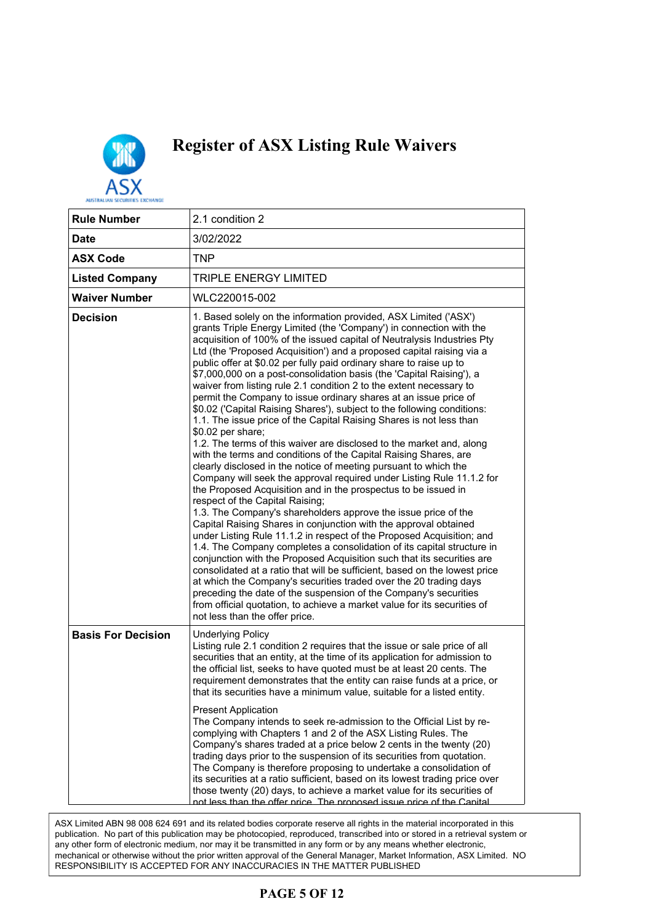

| 2.1 condition 2                                                                                                                                                                                                                                                                                                                                                                                                                                                                                                                                                                                                                                                                                                                                                                                                                                                                                                                                                                                                                                                                                                                                                                                                                                                                                                                                                                                                                                                                                                                                                                                                                                                                                                                                                                                                                                                    |
|--------------------------------------------------------------------------------------------------------------------------------------------------------------------------------------------------------------------------------------------------------------------------------------------------------------------------------------------------------------------------------------------------------------------------------------------------------------------------------------------------------------------------------------------------------------------------------------------------------------------------------------------------------------------------------------------------------------------------------------------------------------------------------------------------------------------------------------------------------------------------------------------------------------------------------------------------------------------------------------------------------------------------------------------------------------------------------------------------------------------------------------------------------------------------------------------------------------------------------------------------------------------------------------------------------------------------------------------------------------------------------------------------------------------------------------------------------------------------------------------------------------------------------------------------------------------------------------------------------------------------------------------------------------------------------------------------------------------------------------------------------------------------------------------------------------------------------------------------------------------|
| 3/02/2022                                                                                                                                                                                                                                                                                                                                                                                                                                                                                                                                                                                                                                                                                                                                                                                                                                                                                                                                                                                                                                                                                                                                                                                                                                                                                                                                                                                                                                                                                                                                                                                                                                                                                                                                                                                                                                                          |
| <b>TNP</b>                                                                                                                                                                                                                                                                                                                                                                                                                                                                                                                                                                                                                                                                                                                                                                                                                                                                                                                                                                                                                                                                                                                                                                                                                                                                                                                                                                                                                                                                                                                                                                                                                                                                                                                                                                                                                                                         |
| <b>TRIPLE ENERGY LIMITED</b>                                                                                                                                                                                                                                                                                                                                                                                                                                                                                                                                                                                                                                                                                                                                                                                                                                                                                                                                                                                                                                                                                                                                                                                                                                                                                                                                                                                                                                                                                                                                                                                                                                                                                                                                                                                                                                       |
| WLC220015-002                                                                                                                                                                                                                                                                                                                                                                                                                                                                                                                                                                                                                                                                                                                                                                                                                                                                                                                                                                                                                                                                                                                                                                                                                                                                                                                                                                                                                                                                                                                                                                                                                                                                                                                                                                                                                                                      |
| 1. Based solely on the information provided, ASX Limited ('ASX')<br>grants Triple Energy Limited (the 'Company') in connection with the<br>acquisition of 100% of the issued capital of Neutralysis Industries Pty<br>Ltd (the 'Proposed Acquisition') and a proposed capital raising via a<br>public offer at \$0.02 per fully paid ordinary share to raise up to<br>\$7,000,000 on a post-consolidation basis (the 'Capital Raising'), a<br>waiver from listing rule 2.1 condition 2 to the extent necessary to<br>permit the Company to issue ordinary shares at an issue price of<br>\$0.02 ('Capital Raising Shares'), subject to the following conditions:<br>1.1. The issue price of the Capital Raising Shares is not less than<br>\$0.02 per share;<br>1.2. The terms of this waiver are disclosed to the market and, along<br>with the terms and conditions of the Capital Raising Shares, are<br>clearly disclosed in the notice of meeting pursuant to which the<br>Company will seek the approval required under Listing Rule 11.1.2 for<br>the Proposed Acquisition and in the prospectus to be issued in<br>respect of the Capital Raising;<br>1.3. The Company's shareholders approve the issue price of the<br>Capital Raising Shares in conjunction with the approval obtained<br>under Listing Rule 11.1.2 in respect of the Proposed Acquisition; and<br>1.4. The Company completes a consolidation of its capital structure in<br>conjunction with the Proposed Acquisition such that its securities are<br>consolidated at a ratio that will be sufficient, based on the lowest price<br>at which the Company's securities traded over the 20 trading days<br>preceding the date of the suspension of the Company's securities<br>from official quotation, to achieve a market value for its securities of<br>not less than the offer price. |
| <b>Underlying Policy</b><br>Listing rule 2.1 condition 2 requires that the issue or sale price of all<br>securities that an entity, at the time of its application for admission to<br>the official list, seeks to have quoted must be at least 20 cents. The<br>requirement demonstrates that the entity can raise funds at a price, or<br>that its securities have a minimum value, suitable for a listed entity.<br><b>Present Application</b><br>The Company intends to seek re-admission to the Official List by re-<br>complying with Chapters 1 and 2 of the ASX Listing Rules. The<br>Company's shares traded at a price below 2 cents in the twenty (20)<br>trading days prior to the suspension of its securities from quotation.<br>The Company is therefore proposing to undertake a consolidation of<br>its securities at a ratio sufficient, based on its lowest trading price over<br>those twenty (20) days, to achieve a market value for its securities of                                                                                                                                                                                                                                                                                                                                                                                                                                                                                                                                                                                                                                                                                                                                                                                                                                                                                       |
|                                                                                                                                                                                                                                                                                                                                                                                                                                                                                                                                                                                                                                                                                                                                                                                                                                                                                                                                                                                                                                                                                                                                                                                                                                                                                                                                                                                                                                                                                                                                                                                                                                                                                                                                                                                                                                                                    |

ASX Limited ABN 98 008 624 691 and its related bodies corporate reserve all rights in the material incorporated in this<br> publication. No part of this publication may be photocopied, reproduced, transcribed into or stored in a retrieval system or any other form of electronic medium, nor may it be transmitted in any form or by any means whether electronic,<br>we sharied anothermic without the microsoft as a ground of the Occurry Marcoca, Market Information, AOX Li mechanical or otherwise without the prior written approval of the General Manager, Market Information, ASX Limited. NO<br>סיבור המוסדות המוסדות המוסדות המוסדות המוסדות המוסדות המוסדות המוסדות המוסדות המוסדות המוסדות המוסדות RESPONSIBILITY IS ACCEPTED FOR ANY INACCURACIES IN THE MATTER PUBLISHED

### **PAGE 5 OF 12**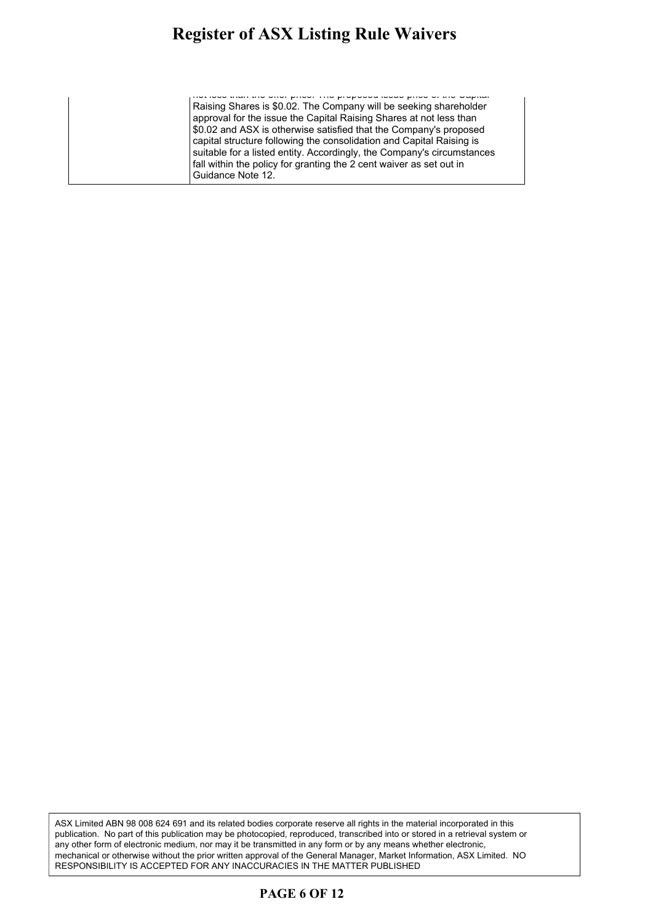#### **Register of ASX Listing Rule Waivers** gistel of ASA Listing Ruie waivers

not less than the offer price. The proposed issue price of the Capital Raising Shares is \$0.02. The Company will be seeking shareholder approval for the issue the Capital Raising Shares at not less than \$0.02 and ASX is otherwise satisfied that the Company's proposed capital structure following the consolidation and Capital Raising is suitable for a listed entity. Accordingly, the Company's circumstances fall within the policy for granting the 2 cent waiver as set out in Guidance Note 12.

ASX Limited ABN 98 008 624 691 and its related bodies corporate reserve all rights in the material incorporated in this publication. No part of this publication may be photocopied, reproduced, transcribed into or stored in a retrieval system or any other form of electronic medium, nor may it be transmitted in any form or by any means whether electronic, mechanical or otherwise without the prior written approval of the General Manager, Market Information, ASX Limited. NO RESPONSIBILITY IS ACCEPTED FOR ANY INACCURACIES IN THE MATTER PUBLISHED

#### **PAGE 6 OF 12**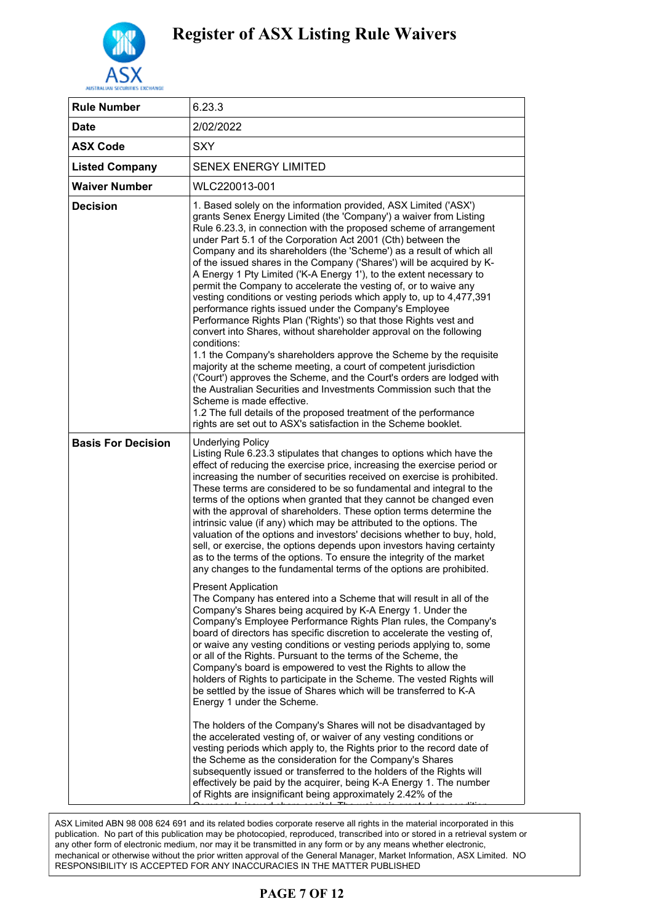

| <b>Rule Number</b>        | 6.23.3                                                                                                                                                                                                                                                                                                                                                                                                                                                                                                                                                                                                                                                                                                                                                                                                                                                                                                                                                                                                                                                                                                                                                                                                                                                                                                                                                                                                                                                                                                                                                                                                                                                                                                                                                                                                                                                                                                                                                                                              |
|---------------------------|-----------------------------------------------------------------------------------------------------------------------------------------------------------------------------------------------------------------------------------------------------------------------------------------------------------------------------------------------------------------------------------------------------------------------------------------------------------------------------------------------------------------------------------------------------------------------------------------------------------------------------------------------------------------------------------------------------------------------------------------------------------------------------------------------------------------------------------------------------------------------------------------------------------------------------------------------------------------------------------------------------------------------------------------------------------------------------------------------------------------------------------------------------------------------------------------------------------------------------------------------------------------------------------------------------------------------------------------------------------------------------------------------------------------------------------------------------------------------------------------------------------------------------------------------------------------------------------------------------------------------------------------------------------------------------------------------------------------------------------------------------------------------------------------------------------------------------------------------------------------------------------------------------------------------------------------------------------------------------------------------------|
| <b>Date</b>               | 2/02/2022                                                                                                                                                                                                                                                                                                                                                                                                                                                                                                                                                                                                                                                                                                                                                                                                                                                                                                                                                                                                                                                                                                                                                                                                                                                                                                                                                                                                                                                                                                                                                                                                                                                                                                                                                                                                                                                                                                                                                                                           |
| <b>ASX Code</b>           | <b>SXY</b>                                                                                                                                                                                                                                                                                                                                                                                                                                                                                                                                                                                                                                                                                                                                                                                                                                                                                                                                                                                                                                                                                                                                                                                                                                                                                                                                                                                                                                                                                                                                                                                                                                                                                                                                                                                                                                                                                                                                                                                          |
| <b>Listed Company</b>     | <b>SENEX ENERGY LIMITED</b>                                                                                                                                                                                                                                                                                                                                                                                                                                                                                                                                                                                                                                                                                                                                                                                                                                                                                                                                                                                                                                                                                                                                                                                                                                                                                                                                                                                                                                                                                                                                                                                                                                                                                                                                                                                                                                                                                                                                                                         |
| <b>Waiver Number</b>      | WLC220013-001                                                                                                                                                                                                                                                                                                                                                                                                                                                                                                                                                                                                                                                                                                                                                                                                                                                                                                                                                                                                                                                                                                                                                                                                                                                                                                                                                                                                                                                                                                                                                                                                                                                                                                                                                                                                                                                                                                                                                                                       |
| <b>Decision</b>           | 1. Based solely on the information provided, ASX Limited ('ASX')<br>grants Senex Energy Limited (the 'Company') a waiver from Listing<br>Rule 6.23.3, in connection with the proposed scheme of arrangement<br>under Part 5.1 of the Corporation Act 2001 (Cth) between the<br>Company and its shareholders (the 'Scheme') as a result of which all<br>of the issued shares in the Company ('Shares') will be acquired by K-<br>A Energy 1 Pty Limited ('K-A Energy 1'), to the extent necessary to<br>permit the Company to accelerate the vesting of, or to waive any<br>vesting conditions or vesting periods which apply to, up to 4,477,391<br>performance rights issued under the Company's Employee<br>Performance Rights Plan ('Rights') so that those Rights vest and<br>convert into Shares, without shareholder approval on the following<br>conditions:<br>1.1 the Company's shareholders approve the Scheme by the requisite<br>majority at the scheme meeting, a court of competent jurisdiction<br>('Court') approves the Scheme, and the Court's orders are lodged with<br>the Australian Securities and Investments Commission such that the<br>Scheme is made effective.<br>1.2 The full details of the proposed treatment of the performance<br>rights are set out to ASX's satisfaction in the Scheme booklet.                                                                                                                                                                                                                                                                                                                                                                                                                                                                                                                                                                                                                                                                  |
| <b>Basis For Decision</b> | <b>Underlying Policy</b><br>Listing Rule 6.23.3 stipulates that changes to options which have the<br>effect of reducing the exercise price, increasing the exercise period or<br>increasing the number of securities received on exercise is prohibited.<br>These terms are considered to be so fundamental and integral to the<br>terms of the options when granted that they cannot be changed even<br>with the approval of shareholders. These option terms determine the<br>intrinsic value (if any) which may be attributed to the options. The<br>valuation of the options and investors' decisions whether to buy, hold,<br>sell, or exercise, the options depends upon investors having certainty<br>as to the terms of the options. To ensure the integrity of the market<br>any changes to the fundamental terms of the options are prohibited.<br><b>Present Application</b><br>The Company has entered into a Scheme that will result in all of the<br>Company's Shares being acquired by K-A Energy 1. Under the<br>Company's Employee Performance Rights Plan rules, the Company's<br>board of directors has specific discretion to accelerate the vesting of,<br>or waive any vesting conditions or vesting periods applying to, some<br>or all of the Rights. Pursuant to the terms of the Scheme, the<br>Company's board is empowered to vest the Rights to allow the<br>holders of Rights to participate in the Scheme. The vested Rights will<br>be settled by the issue of Shares which will be transferred to K-A<br>Energy 1 under the Scheme.<br>The holders of the Company's Shares will not be disadvantaged by<br>the accelerated vesting of, or waiver of any vesting conditions or<br>vesting periods which apply to, the Rights prior to the record date of<br>the Scheme as the consideration for the Company's Shares<br>subsequently issued or transferred to the holders of the Rights will<br>effectively be paid by the acquirer, being K-A Energy 1. The number |

.<br>ASX Limited ABN 98 008 624 691 and its related bodies corporate reserve all rights in the material incorporated in this publication. No part of this publication may be photocopied, reproduced, transcribed into or stored in a retrieval system or publication. any other form of electronic medium, nor may it be transmitted in any form or by any means whether electronic, mechanical or otherwise without the prior written approval of the General Manager, Market Information, ASX Limited. NO RESPONSIBILITY IS ACCEPTED FOR ANY INACCURACIES IN THE MATTER PUBLISHED

### **PAGE 7 OF 12**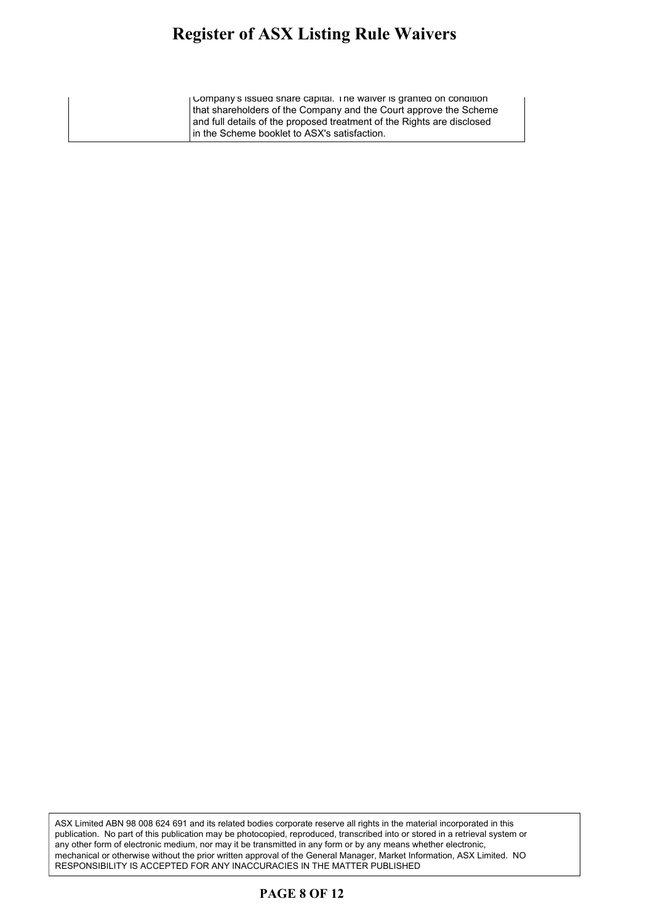#### **Register of ASX Listing Rule Waivers** gister of ASY Listing Rule Waivers  $\,$ gives of their moving rule which  $\theta$

Company's issued share capital. The waiver is granted on condition that shareholders of the Company and the Court approve the Scheme and full details of the proposed treatment of the Rights are disclosed in the Scheme booklet to ASX's satisfaction.

ASX Limited ABN 98 008 624 691 and its related bodies corporate reserve all rights in the material incorporated in this publication. No part of this publication may be photocopied, reproduced, transcribed into or stored in a retrieval system or any other form of electronic medium, nor may it be transmitted in any form or by any means whether electronic, mechanical or otherwise without the prior written approval of the General Manager, Market Information, ASX Limited. NO RESPONSIBILITY IS ACCEPTED FOR ANY INACCURACIES IN THE MATTER PUBLISHED

#### **PAGE 8 OF 12**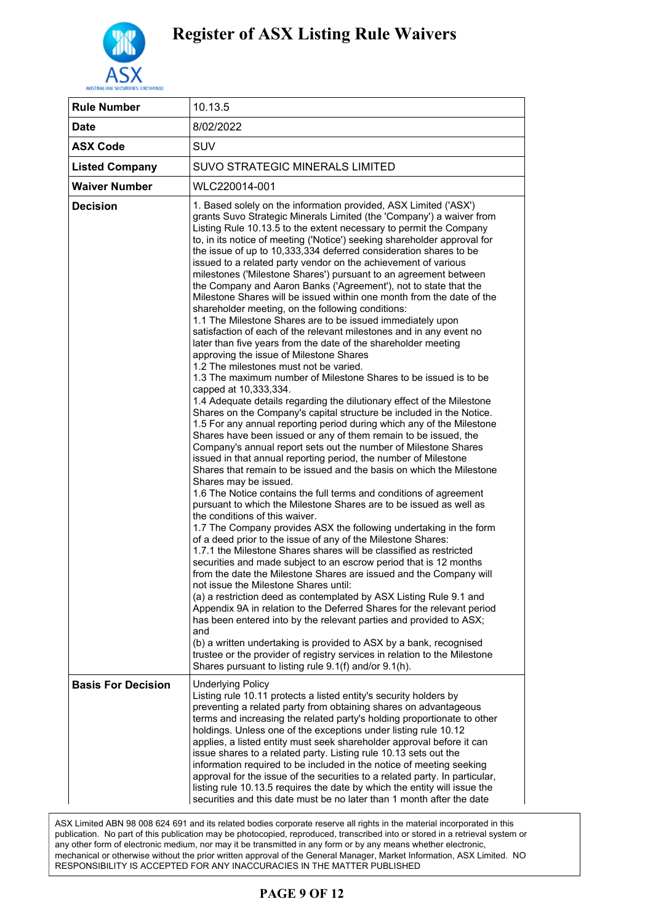

| 10.13.5                                                                                                                                                                                                                                                                                                                                                                                                                                                                                                                                                                                                                                                                                                                                                                                                                                                                                                                                                                                                                                                                                                                                                                                                                                                                                                                                                                                                                                                                                                                                                                                                                                                                                                                                                                                                                                                                                                                                                                                                                                                                                                                                                                                                                                                                                                                                                                                                                                                                                                                                                                                                                                                      |
|--------------------------------------------------------------------------------------------------------------------------------------------------------------------------------------------------------------------------------------------------------------------------------------------------------------------------------------------------------------------------------------------------------------------------------------------------------------------------------------------------------------------------------------------------------------------------------------------------------------------------------------------------------------------------------------------------------------------------------------------------------------------------------------------------------------------------------------------------------------------------------------------------------------------------------------------------------------------------------------------------------------------------------------------------------------------------------------------------------------------------------------------------------------------------------------------------------------------------------------------------------------------------------------------------------------------------------------------------------------------------------------------------------------------------------------------------------------------------------------------------------------------------------------------------------------------------------------------------------------------------------------------------------------------------------------------------------------------------------------------------------------------------------------------------------------------------------------------------------------------------------------------------------------------------------------------------------------------------------------------------------------------------------------------------------------------------------------------------------------------------------------------------------------------------------------------------------------------------------------------------------------------------------------------------------------------------------------------------------------------------------------------------------------------------------------------------------------------------------------------------------------------------------------------------------------------------------------------------------------------------------------------------------------|
| 8/02/2022                                                                                                                                                                                                                                                                                                                                                                                                                                                                                                                                                                                                                                                                                                                                                                                                                                                                                                                                                                                                                                                                                                                                                                                                                                                                                                                                                                                                                                                                                                                                                                                                                                                                                                                                                                                                                                                                                                                                                                                                                                                                                                                                                                                                                                                                                                                                                                                                                                                                                                                                                                                                                                                    |
| <b>SUV</b>                                                                                                                                                                                                                                                                                                                                                                                                                                                                                                                                                                                                                                                                                                                                                                                                                                                                                                                                                                                                                                                                                                                                                                                                                                                                                                                                                                                                                                                                                                                                                                                                                                                                                                                                                                                                                                                                                                                                                                                                                                                                                                                                                                                                                                                                                                                                                                                                                                                                                                                                                                                                                                                   |
| SUVO STRATEGIC MINERALS LIMITED                                                                                                                                                                                                                                                                                                                                                                                                                                                                                                                                                                                                                                                                                                                                                                                                                                                                                                                                                                                                                                                                                                                                                                                                                                                                                                                                                                                                                                                                                                                                                                                                                                                                                                                                                                                                                                                                                                                                                                                                                                                                                                                                                                                                                                                                                                                                                                                                                                                                                                                                                                                                                              |
| WLC220014-001                                                                                                                                                                                                                                                                                                                                                                                                                                                                                                                                                                                                                                                                                                                                                                                                                                                                                                                                                                                                                                                                                                                                                                                                                                                                                                                                                                                                                                                                                                                                                                                                                                                                                                                                                                                                                                                                                                                                                                                                                                                                                                                                                                                                                                                                                                                                                                                                                                                                                                                                                                                                                                                |
| 1. Based solely on the information provided, ASX Limited ('ASX')<br>grants Suvo Strategic Minerals Limited (the 'Company') a waiver from<br>Listing Rule 10.13.5 to the extent necessary to permit the Company<br>to, in its notice of meeting ('Notice') seeking shareholder approval for<br>the issue of up to 10,333,334 deferred consideration shares to be<br>issued to a related party vendor on the achievement of various<br>milestones ('Milestone Shares') pursuant to an agreement between<br>the Company and Aaron Banks ('Agreement'), not to state that the<br>Milestone Shares will be issued within one month from the date of the<br>shareholder meeting, on the following conditions:<br>1.1 The Milestone Shares are to be issued immediately upon<br>satisfaction of each of the relevant milestones and in any event no<br>later than five years from the date of the shareholder meeting<br>approving the issue of Milestone Shares<br>1.2 The milestones must not be varied.<br>1.3 The maximum number of Milestone Shares to be issued is to be<br>capped at 10,333,334.<br>1.4 Adequate details regarding the dilutionary effect of the Milestone<br>Shares on the Company's capital structure be included in the Notice.<br>1.5 For any annual reporting period during which any of the Milestone<br>Shares have been issued or any of them remain to be issued, the<br>Company's annual report sets out the number of Milestone Shares<br>issued in that annual reporting period, the number of Milestone<br>Shares that remain to be issued and the basis on which the Milestone<br>Shares may be issued.<br>1.6 The Notice contains the full terms and conditions of agreement<br>pursuant to which the Milestone Shares are to be issued as well as<br>the conditions of this waiver.<br>1.7 The Company provides ASX the following undertaking in the form<br>of a deed prior to the issue of any of the Milestone Shares:<br>1.7.1 the Milestone Shares shares will be classified as restricted<br>securities and made subject to an escrow period that is 12 months<br>from the date the Milestone Shares are issued and the Company will<br>not issue the Milestone Shares until:<br>(a) a restriction deed as contemplated by ASX Listing Rule 9.1 and<br>Appendix 9A in relation to the Deferred Shares for the relevant period<br>has been entered into by the relevant parties and provided to ASX;<br>and<br>(b) a written undertaking is provided to ASX by a bank, recognised<br>trustee or the provider of registry services in relation to the Milestone<br>Shares pursuant to listing rule 9.1(f) and/or 9.1(h). |
| <b>Underlying Policy</b><br>Listing rule 10.11 protects a listed entity's security holders by<br>preventing a related party from obtaining shares on advantageous<br>terms and increasing the related party's holding proportionate to other<br>holdings. Unless one of the exceptions under listing rule 10.12<br>applies, a listed entity must seek shareholder approval before it can<br>issue shares to a related party. Listing rule 10.13 sets out the<br>information required to be included in the notice of meeting seeking<br>approval for the issue of the securities to a related party. In particular,<br>listing rule 10.13.5 requires the date by which the entity will issue the<br>securities and this date must be no later than 1 month after the date                                                                                                                                                                                                                                                                                                                                                                                                                                                                                                                                                                                                                                                                                                                                                                                                                                                                                                                                                                                                                                                                                                                                                                                                                                                                                                                                                                                                                                                                                                                                                                                                                                                                                                                                                                                                                                                                                    |
|                                                                                                                                                                                                                                                                                                                                                                                                                                                                                                                                                                                                                                                                                                                                                                                                                                                                                                                                                                                                                                                                                                                                                                                                                                                                                                                                                                                                                                                                                                                                                                                                                                                                                                                                                                                                                                                                                                                                                                                                                                                                                                                                                                                                                                                                                                                                                                                                                                                                                                                                                                                                                                                              |

ASX Limited ABN 98 008 624 691 and its related bodies corporate reserve all rights in the material incorporated in this publication. No part of this publication may be photocopied, reproduced, transcribed into or stored in a retrieval system or any other form of electronic medium, nor may it be transmitted in any form or by any means whether electronic, mechanical or otherwise without the prior written approval of the General Manager, Market Information, ASX Limited. NO RESPONSIBILITY IS ACCEPTED FOR ANY INACCURACIES IN THE MATTER PUBLISHED

### **PAGE 9 OF 12**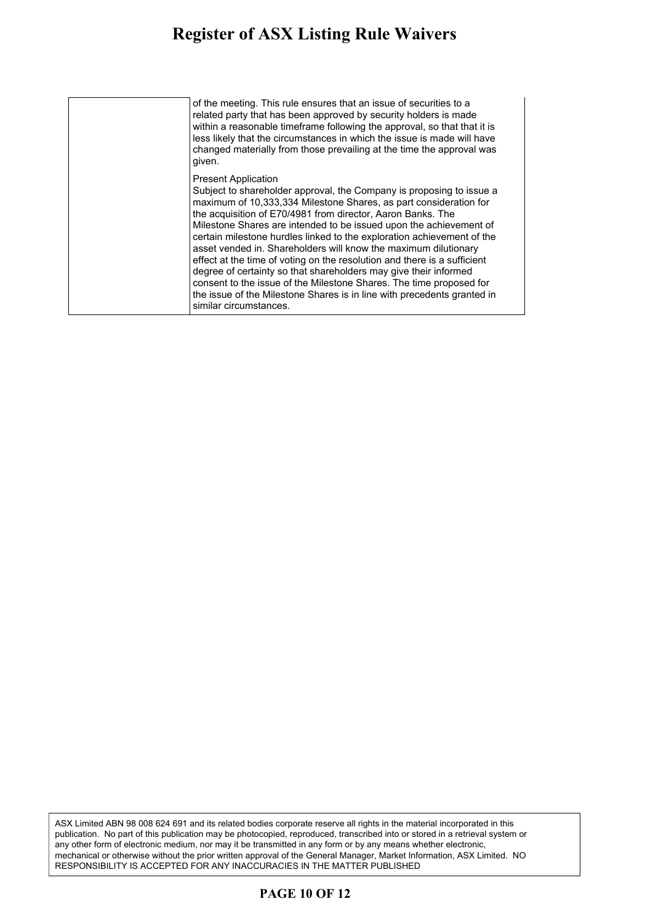#### **Register of ASX Listing Rule Waivers** gister of ASA Listing Kule Waivers issue shares to a related party. Listing rule 10.13 sets out the

| of the meeting. This rule ensures that an issue of securities to a<br>related party that has been approved by security holders is made<br>within a reasonable timeframe following the approval, so that that it is<br>less likely that the circumstances in which the issue is made will have<br>changed materially from those prevailing at the time the approval was<br>given.                                                                                                                                                                                                                                                                                                                                                                                                      |
|---------------------------------------------------------------------------------------------------------------------------------------------------------------------------------------------------------------------------------------------------------------------------------------------------------------------------------------------------------------------------------------------------------------------------------------------------------------------------------------------------------------------------------------------------------------------------------------------------------------------------------------------------------------------------------------------------------------------------------------------------------------------------------------|
| <b>Present Application</b><br>Subject to shareholder approval, the Company is proposing to issue a<br>maximum of 10,333,334 Milestone Shares, as part consideration for<br>the acquisition of E70/4981 from director, Aaron Banks. The<br>Milestone Shares are intended to be issued upon the achievement of<br>certain milestone hurdles linked to the exploration achievement of the<br>asset vended in. Shareholders will know the maximum dilutionary<br>effect at the time of voting on the resolution and there is a sufficient<br>degree of certainty so that shareholders may give their informed<br>consent to the issue of the Milestone Shares. The time proposed for<br>the issue of the Milestone Shares is in line with precedents granted in<br>similar circumstances. |

ASX Limited ABN 98 008 624 691 and its related bodies corporate reserve all rights in the material incorporated in this publication. No part of this publication may be photocopied, reproduced, transcribed into or stored in a retrieval system or any other form of electronic medium, nor may it be transmitted in any form or by any means whether electronic, mechanical or otherwise without the prior written approval of the General Manager, Market Information, ASX Limited. NO RESPONSIBILITY IS ACCEPTED FOR ANY INACCURACIES IN THE MATTER PUBLISHED

#### **PAGE 10 OF 12**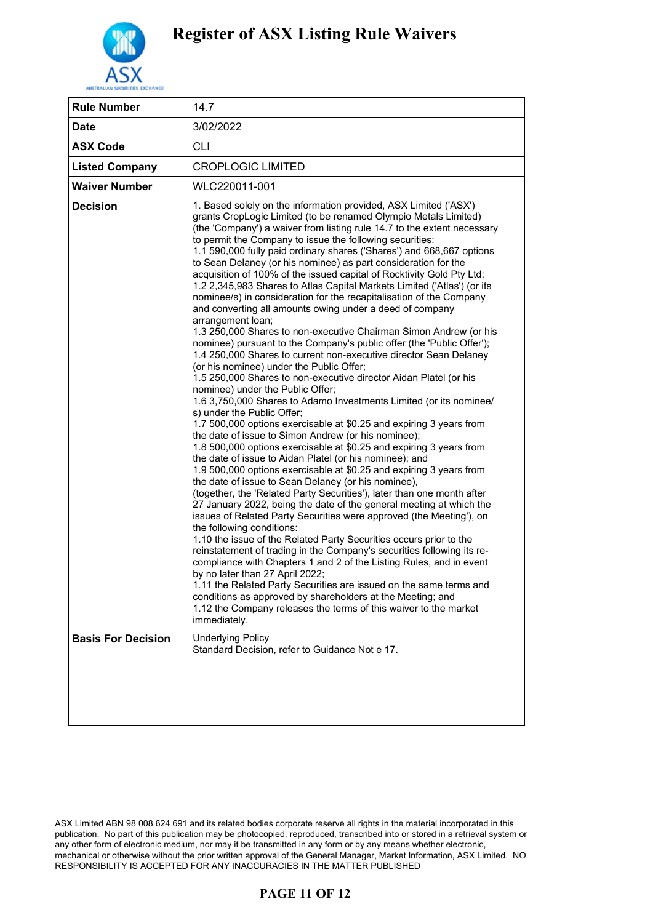

| <b>Rule Number</b>        | 14.7                                                                                                                                                                                                                                                                                                                                                                                                                                                                                                                                                                                                                                                                                                                                                                                                                                                                                                                                                                                                                                                                                                                                                                                                                                                                                                                                                                                                                                                                                                                                                                                                                                                                                                                                                                                                                                                                                                                                                                                                                                                                                                                                                                                                                                                                                                                                               |
|---------------------------|----------------------------------------------------------------------------------------------------------------------------------------------------------------------------------------------------------------------------------------------------------------------------------------------------------------------------------------------------------------------------------------------------------------------------------------------------------------------------------------------------------------------------------------------------------------------------------------------------------------------------------------------------------------------------------------------------------------------------------------------------------------------------------------------------------------------------------------------------------------------------------------------------------------------------------------------------------------------------------------------------------------------------------------------------------------------------------------------------------------------------------------------------------------------------------------------------------------------------------------------------------------------------------------------------------------------------------------------------------------------------------------------------------------------------------------------------------------------------------------------------------------------------------------------------------------------------------------------------------------------------------------------------------------------------------------------------------------------------------------------------------------------------------------------------------------------------------------------------------------------------------------------------------------------------------------------------------------------------------------------------------------------------------------------------------------------------------------------------------------------------------------------------------------------------------------------------------------------------------------------------------------------------------------------------------------------------------------------------|
| <b>Date</b>               | 3/02/2022                                                                                                                                                                                                                                                                                                                                                                                                                                                                                                                                                                                                                                                                                                                                                                                                                                                                                                                                                                                                                                                                                                                                                                                                                                                                                                                                                                                                                                                                                                                                                                                                                                                                                                                                                                                                                                                                                                                                                                                                                                                                                                                                                                                                                                                                                                                                          |
| <b>ASX Code</b>           | <b>CLI</b>                                                                                                                                                                                                                                                                                                                                                                                                                                                                                                                                                                                                                                                                                                                                                                                                                                                                                                                                                                                                                                                                                                                                                                                                                                                                                                                                                                                                                                                                                                                                                                                                                                                                                                                                                                                                                                                                                                                                                                                                                                                                                                                                                                                                                                                                                                                                         |
| <b>Listed Company</b>     | <b>CROPLOGIC LIMITED</b>                                                                                                                                                                                                                                                                                                                                                                                                                                                                                                                                                                                                                                                                                                                                                                                                                                                                                                                                                                                                                                                                                                                                                                                                                                                                                                                                                                                                                                                                                                                                                                                                                                                                                                                                                                                                                                                                                                                                                                                                                                                                                                                                                                                                                                                                                                                           |
| <b>Waiver Number</b>      | WLC220011-001                                                                                                                                                                                                                                                                                                                                                                                                                                                                                                                                                                                                                                                                                                                                                                                                                                                                                                                                                                                                                                                                                                                                                                                                                                                                                                                                                                                                                                                                                                                                                                                                                                                                                                                                                                                                                                                                                                                                                                                                                                                                                                                                                                                                                                                                                                                                      |
| <b>Decision</b>           | 1. Based solely on the information provided, ASX Limited ('ASX')<br>grants CropLogic Limited (to be renamed Olympio Metals Limited)<br>(the 'Company') a waiver from listing rule 14.7 to the extent necessary<br>to permit the Company to issue the following securities:<br>1.1 590,000 fully paid ordinary shares ('Shares') and 668,667 options<br>to Sean Delaney (or his nominee) as part consideration for the<br>acquisition of 100% of the issued capital of Rocktivity Gold Pty Ltd;<br>1.2 2,345,983 Shares to Atlas Capital Markets Limited ('Atlas') (or its<br>nominee/s) in consideration for the recapitalisation of the Company<br>and converting all amounts owing under a deed of company<br>arrangement loan;<br>1.3 250,000 Shares to non-executive Chairman Simon Andrew (or his<br>nominee) pursuant to the Company's public offer (the 'Public Offer');<br>1.4 250,000 Shares to current non-executive director Sean Delaney<br>(or his nominee) under the Public Offer;<br>1.5 250,000 Shares to non-executive director Aidan Platel (or his<br>nominee) under the Public Offer;<br>1.6 3,750,000 Shares to Adamo Investments Limited (or its nominee/<br>s) under the Public Offer;<br>1.7 500,000 options exercisable at \$0.25 and expiring 3 years from<br>the date of issue to Simon Andrew (or his nominee);<br>1.8 500,000 options exercisable at \$0.25 and expiring 3 years from<br>the date of issue to Aidan Platel (or his nominee); and<br>1.9 500,000 options exercisable at \$0.25 and expiring 3 years from<br>the date of issue to Sean Delaney (or his nominee),<br>(together, the 'Related Party Securities'), later than one month after<br>27 January 2022, being the date of the general meeting at which the<br>issues of Related Party Securities were approved (the Meeting'), on<br>the following conditions:<br>1.10 the issue of the Related Party Securities occurs prior to the<br>reinstatement of trading in the Company's securities following its re-<br>compliance with Chapters 1 and 2 of the Listing Rules, and in event<br>by no later than 27 April 2022;<br>1.11 the Related Party Securities are issued on the same terms and<br>conditions as approved by shareholders at the Meeting; and<br>1.12 the Company releases the terms of this waiver to the market<br>immediately. |
| <b>Basis For Decision</b> | <b>Underlying Policy</b><br>Standard Decision, refer to Guidance Not e 17.                                                                                                                                                                                                                                                                                                                                                                                                                                                                                                                                                                                                                                                                                                                                                                                                                                                                                                                                                                                                                                                                                                                                                                                                                                                                                                                                                                                                                                                                                                                                                                                                                                                                                                                                                                                                                                                                                                                                                                                                                                                                                                                                                                                                                                                                         |

ASX Limited ABN 98 008 624 691 and its related bodies corporate reserve all rights in the material incorporated in this publication. No part of this publication may be photocopied, reproduced, transcribed into or stored in a retrieval system or any other form of electronic medium, nor may it be transmitted in any form or by any means whether electronic, mechanical or otherwise without the prior written approval of the General Manager, Market Information, ASX Limited. NO RESPONSIBILITY IS ACCEPTED FOR ANY INACCURACIES IN THE MATTER PUBLISHED

### **PAGE 11 OF 12**